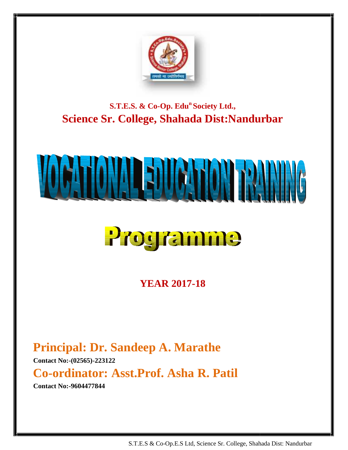

**S.T.E.S. & Co-Op. Edu<sup>n</sup> Society Ltd., Society Science Sr. College, Shahada Dist:Nandurbar** 

# 

## Programme

**YEAR 2017-18**

**Principal: Dr. Sandeep A. Marathe**

**Contact No:-(02565)-223122**

**Co-ordinator: Asst.Prof. Asha R. Patil Patil**

**Contact No:-9604477844**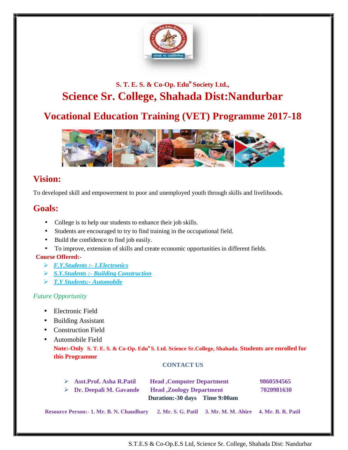

#### **S. T. E. S. & Co-Op. Edu<sup>n</sup> Society Ltd.,** s. <del>T</del>. E. S. & Co-Op. Edu<sup>n</sup> Society Ltd.,<br>**Science Sr. College, Shahada Dist:Nandurbar**

#### **Vocational Education Training (VET) Programme 2017-18**



#### **Vision:**

To developed skill and empowerment to poor and unemployed youth through skills and livelihoods.

#### **Goals:**

- College is to help our students to enhance their job skills.
- Students are encouraged to try to find training in the occupational field.
- Build the confidence to find job easily.
- To improve, extension of skills and create economic opportunities in different fields. loped skill and empowerment to poor and unemployed youth through skills and livelihood<br>
:<br>
College is to help our students to enhance their job skills.<br>
Students are encouraged to try to find training in the occupational f

#### **Course Offered:-**

- *F.Y.Students :- 1.Electronics*
- *S.Y.Students :- Building Construction Building Construction*
- *T.Y Students:- Automobile*

#### *Future Opportunity*

- Electronic Field
- Building Assistant
- Construction Field<br>• Automobile Field
- Automobile Field

**Note:-Only S. T. E. S. & Co-Op. Edu<sup>n</sup> S. Ltd. Science Sr.College, Shahada. Students are enrolled for S.<sup>n</sup> Students for this Programme Programme**

#### **CONTACT US**

| $\triangleright$ Asst. Prof. Asha R. Patil      | <b>Head</b> , Computer Department |                                                          | 9860594565 |  |
|-------------------------------------------------|-----------------------------------|----------------------------------------------------------|------------|--|
| $\triangleright$ Dr. Deepali M. Gavande         | <b>Head ,Zoology Department</b>   |                                                          | 7020981630 |  |
|                                                 | Duration:-30 days Time 9:00am     |                                                          |            |  |
| <b>Resource Person:- 1. Mr. B. N. Chaudhary</b> |                                   | 2. Mr. S. G. Patil 3. Mr. M. M. Ahire 4. Mr. B. R. Patil |            |  |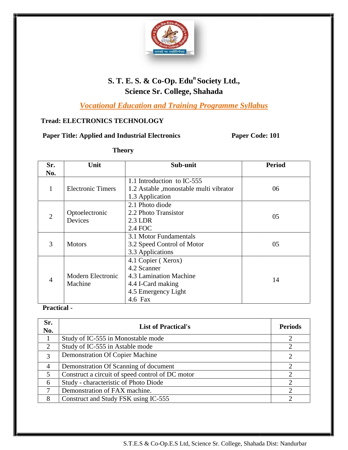

#### **S. T. E. S. & Co-Op. Edu<sup>n</sup> Society Ltd., Science Sr. College, Shahada**

*Vocational Education and Training Programme Syllabus Vocational* 

#### **Tread: ELECTRONICS TECHNOLOGY**

|                | <b>Paper Title: Applied and Industrial Electronics</b> |                                                                                                                    | Paper Code: 101 |
|----------------|--------------------------------------------------------|--------------------------------------------------------------------------------------------------------------------|-----------------|
| <b>Theory</b>  |                                                        |                                                                                                                    |                 |
| Sr.<br>No.     | Unit                                                   | Sub-unit                                                                                                           | <b>Period</b>   |
| $\mathbf{1}$   | <b>Electronic Timers</b>                               | 1.1 Introduction to IC-555<br>1.2 Astable , monostable multi vibrator<br>1.3 Application                           | 06              |
| $\overline{2}$ | Optoelectronic<br>Devices                              | 2.1 Photo diode<br>2.2 Photo Transistor<br>2.3 LDR<br>2.4 FOC                                                      | 05              |
| 3              | <b>Motors</b>                                          | 3.1 Motor Fundamentals<br>3.2 Speed Control of Motor<br>3.3 Applications                                           | 05              |
| $\overline{4}$ | Modern Electronic<br>Machine                           | 4.1 Copier (Xerox)<br>4.2 Scanner<br>4.3 Lamination Machine<br>4.4 I-Card making<br>4.5 Emergency Light<br>4.6 Fax | 14              |

#### **Practical -**

| Sr.<br>No.     | <b>List of Practical's</b>                       | <b>Periods</b> |
|----------------|--------------------------------------------------|----------------|
|                | Study of IC-555 in Monostable mode               |                |
| 2              | Study of IC-555 in Astable mode                  |                |
| 3              | <b>Demonstration Of Copier Machine</b>           |                |
| $\overline{4}$ | Demonstration Of Scanning of document            |                |
| 5              | Construct a circuit of speed control of DC motor |                |
| 6              | Study - characteristic of Photo Diode            | ◠              |
| 7              | Demonstration of FAX machine.                    |                |
| 8              | Construct and Study FSK using IC-555             |                |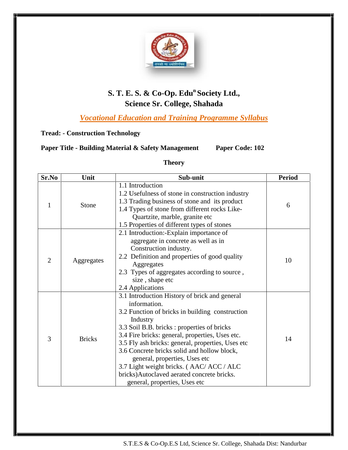

#### **S. T. E. S. & Co-Op. Edu<sup>n</sup> Society Ltd., Science Sr. College, Shahada**

*Vocational Education and Training Programme Syllabus Vocational* 

#### **Tread: - Construction Technology Construction**

#### **Paper Title - Building Material & Safety Management Paper Code: 102**

#### **Theory**

| Sr.No          | Unit          | Sub-unit                                                                                                                                                                                                                                                                                                                                                                                                                                                                                       | <b>Period</b> |
|----------------|---------------|------------------------------------------------------------------------------------------------------------------------------------------------------------------------------------------------------------------------------------------------------------------------------------------------------------------------------------------------------------------------------------------------------------------------------------------------------------------------------------------------|---------------|
| 1              | Stone         | 1.1 Introduction<br>1.2 Usefulness of stone in construction industry<br>1.3 Trading business of stone and its product<br>1.4 Types of stone from different rocks Like-<br>Quartzite, marble, granite etc<br>1.5 Properties of different types of stones                                                                                                                                                                                                                                        | 6             |
| $\overline{2}$ | Aggregates    | 2.1 Introduction:-Explain importance of<br>aggregate in concrete as well as in<br>Construction industry.<br>2.2 Definition and properties of good quality<br>Aggregates<br>2.3 Types of aggregates according to source,<br>size, shape etc<br>2.4 Applications                                                                                                                                                                                                                                 | 10            |
| 3              | <b>Bricks</b> | 3.1 Introduction History of brick and general<br>information.<br>3.2 Function of bricks in building construction<br>Industry<br>3.3 Soil B.B. bricks : properties of bricks<br>3.4 Fire bricks: general, properties, Uses etc.<br>3.5 Fly ash bricks: general, properties, Uses etc<br>3.6 Concrete bricks solid and hollow block,<br>general, properties, Uses etc<br>3.7 Light weight bricks. (AAC/ ACC / ALC<br>bricks)Autoclaved aerated concrete bricks.<br>general, properties, Uses etc | 14            |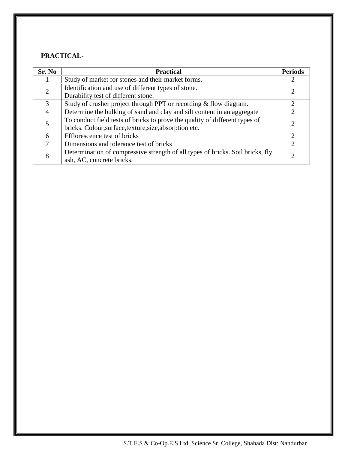#### **PRACTICAL-**

| Sr. No                                                                             | <b>Practical</b>                                                               | <b>Periods</b> |  |
|------------------------------------------------------------------------------------|--------------------------------------------------------------------------------|----------------|--|
|                                                                                    | Study of market for stones and their market forms.                             |                |  |
| Identification and use of different types of stone.<br>$\mathcal{D}_{\mathcal{L}}$ |                                                                                |                |  |
|                                                                                    | Durability test of different stone.                                            |                |  |
| $\mathcal{F}$                                                                      | Study of crusher project through PPT or recording & flow diagram.              | $\mathcal{D}$  |  |
| 4                                                                                  | Determine the bulking of sand and clay and silt content in an aggregate        |                |  |
|                                                                                    | To conduct field tests of bricks to prove the quality of different types of    |                |  |
|                                                                                    | bricks. Colour, surface, texture, size, absorption etc.                        |                |  |
| 6                                                                                  | Efflorescence test of bricks                                                   | $\mathcal{D}$  |  |
|                                                                                    | Dimensions and tolerance test of bricks                                        |                |  |
| 8                                                                                  | Determination of compressive strength of all types of bricks. Soil bricks, fly |                |  |
|                                                                                    | ash, AC, concrete bricks.                                                      |                |  |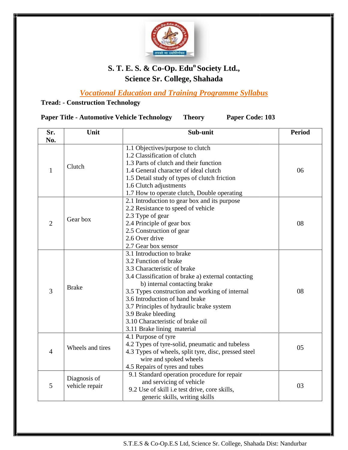

#### **S. T. E. S. & Co-Op. Edu<sup>n</sup> Society Ltd., Science Sr. College, Shahada**

*Vocational Education and Training Programme Syllabus Vocational* 

#### **Tread: - Construction Technology**

**Paper Title - Automotive Vehicle Technology Theory Paper Code: 103 Paper TitleVehicle TechnologyTheoryCode: UnitSr. No.** Unit **Conserversity Sub-unit Period**  $\|\|$  $1$  Clutch 1.1 Objectives/purpose to clutch 1.1 1.2 Classification of clutch 1.2 1.3 Parts of clutch and their function 1.4 General character of ideal clutch 1.5 Detail study of types of clutch friction 1.6 Clutch adjustments 1.7 How to operate clutch, Double operating 06  $2 \left| \right.$  Gear box 2.1 Introduction to gear box and its purpose 2.2 Resistance to speed of vehicle 2.3 Type of gear 2.4 Principle of gear box<br>2.5 Construction of gear<br>2.6 Over drive<br>2.7 Gear box sensor 2.5 Construction of gear 2.6 Over drive 2.7 Gear box sensor 08  $3 \qquad \qquad$  Brake 3.1 Introduction to brake 3.2 Function of brake 3.3 Characteristic of brake 3.4 Classification of brake a) external contacting b) internal contacting brake 3.5 Types construction and working of internal 3.6 Introduction of hand brake 3.7 Principles of hydraulic brake system 3.9 Brake bleeding 3.10 Characteristic of brake oil 3.11 Brake lining material 08  $4$  Wheels and tires 4.1 Purpose of tyre 4.2 Types of tyre-solid, pneumatic and tubeless 4.3 Types of wheels, split tyre, disc, pressed steel wire and spoked wheels 4.5 Repairs of tyres and tubes 4.5 05 5 vehicle repair Diagnosis of 9.1 Standard operation procedure for repair and servicing of vehicle 9.2 Use of skill i.e test drive, core skills, generic skills, writing skills writing skills03 1.3 Parts of clutch and their function<br>1.4 General character of ideal clutch<br>1.5 Detail study of types of clutch friction<br>1.6 Clutch adjustments<br>1.7 How to operate clutch, Double operating<br>2.1 Introduction to gear box and 3.1 Introduction to brake<br>
3.2 Function of brake<br>
3.3 Characteristic of brake<br>
3.4 Classification of brake a) external contactir<br>
b) internal contacting brake<br>
3.5 Types construction and working of internal<br>
3.6 Introducti 4.1 Purpose of tyre<br>4.2 Types of tyre-solid, pn<br>4.3 Types of wheels, split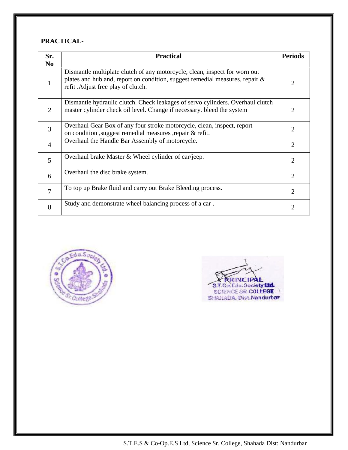#### **PRACTICAL-**

| Sr.            | <b>Practical</b>                                                                                                                                                                                 | <b>Periods</b>        |
|----------------|--------------------------------------------------------------------------------------------------------------------------------------------------------------------------------------------------|-----------------------|
| N <sub>0</sub> |                                                                                                                                                                                                  |                       |
| 1              | Dismantle multiplate clutch of any motorcycle, clean, inspect for worn out<br>plates and hub and, report on condition, suggest remedial measures, repair &<br>refit. Adjust free play of clutch. | $\mathcal{D}_{\cdot}$ |
| $\overline{2}$ | Dismantle hydraulic clutch. Check leakages of servo cylinders. Overhaul clutch<br>master cylinder check oil level. Change if necessary. bleed the system                                         |                       |
| 3              | Overhaul Gear Box of any four stroke motorcycle, clean, inspect, report<br>on condition , suggest remedial measures , repair & refit.                                                            | 2                     |
| $\overline{4}$ | Overhaul the Handle Bar Assembly of motorcycle.                                                                                                                                                  | $\overline{2}$        |
| 5              | Overhaul brake Master & Wheel cylinder of car/jeep.                                                                                                                                              | 2                     |
| 6              | Overhaul the disc brake system.                                                                                                                                                                  | $\overline{2}$        |
| 7              | To top up Brake fluid and carry out Brake Bleeding process.                                                                                                                                      | 2                     |
| 8              | Study and demonstrate wheel balancing process of a car.                                                                                                                                          | 2                     |





S.T.E.S & Co-Op.E.S Ltd, Science Sr. College, Shahada Dist: Nandurbar